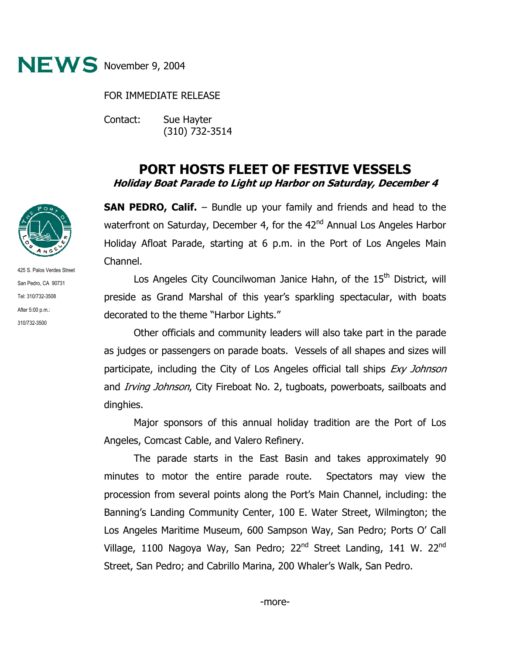

FOR IMMEDIATE RELEASE

Contact: Sue Hayter (310) 732-3514

## **PORT HOSTS FLEET OF FESTIVE VESSELS Holiday Boat Parade to Light up Harbor on Saturday, December 4**

**SAN PEDRO, Calif.** – Bundle up your family and friends and head to the waterfront on Saturday, December 4, for the 42<sup>nd</sup> Annual Los Angeles Harbor Holiday Afloat Parade, starting at 6 p.m. in the Port of Los Angeles Main Channel.

Los Angeles City Councilwoman Janice Hahn, of the 15<sup>th</sup> District, will preside as Grand Marshal of this year's sparkling spectacular, with boats decorated to the theme "Harbor Lights."

Other officials and community leaders will also take part in the parade as judges or passengers on parade boats. Vessels of all shapes and sizes will participate, including the City of Los Angeles official tall ships *Exy Johnson* and *Irving Johnson*, City Fireboat No. 2, tugboats, powerboats, sailboats and dinghies.

Major sponsors of this annual holiday tradition are the Port of Los Angeles, Comcast Cable, and Valero Refinery.

The parade starts in the East Basin and takes approximately 90 minutes to motor the entire parade route. Spectators may view the procession from several points along the Port's Main Channel, including: the Banning's Landing Community Center, 100 E. Water Street, Wilmington; the Los Angeles Maritime Museum, 600 Sampson Way, San Pedro; Ports O' Call Village, 1100 Nagoya Way, San Pedro; 22<sup>nd</sup> Street Landing, 141 W. 22<sup>nd</sup> Street, San Pedro; and Cabrillo Marina, 200 Whaler's Walk, San Pedro.



425 S. Palos Verdes Street San Pedro, CA 90731 Tel: 310/732-3508 After 5:00 p.m.: 310/732-3500